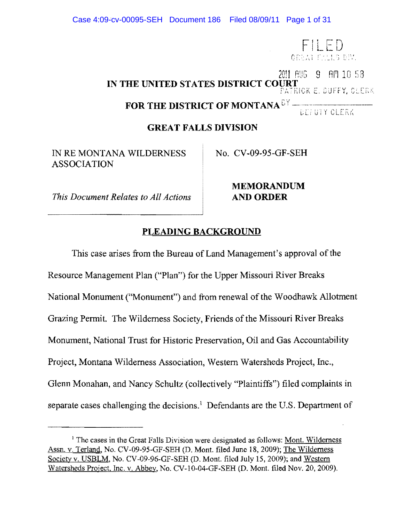FILED<br>orealtalls div. 2011 AUG 9 AM 10 58 IN THE UNITED STATES DISTRICT COURT PATRICK E. DUFFY, CLERK **FOR THE DISTRICT OF MONTANA<sup>67</sup>** 

DEFUIY CLERK

### **GREAT FALLS DIVISION**

IN RE MONTANA WILDERNESS No. CV-09-95-GF-SEH ASSOCIATION

*This Document Relates to All Actions* **AND ORDER** 

**MEMORANDUM** 

# **PLEADING BACKGROUND**

This case arises from the Bureau of Land Management's approval of the Resource Management Plan ("Plan") for the Upper Missouri River Breaks National Monument ("Monument") and from renewal of the Woodhawk Allotment Grazing Permit. The Wilderness Society, Friends of the Missouri River Breaks Monument, National Trust for Historic Preservation, Oil and Gas Accountability Project, Montana Wilderness Association, Western Watersheds Project, Inc., Glenn Monahan, and Nancy Schultz (collectively "Plaintiffs") filed complaints in separate cases challenging the decisions.<sup>1</sup> Defendants are the U.S. Department of

<sup>&</sup>lt;sup>1</sup> The cases in the Great Falls Division were designated as follows: Mont. Wilderness Assn. v. Terland, No. CV-09-95-GF-SEH (D. Mont. filed June 18, 2009); The Wilderness Society v. USBLM, No. CV -09-96-GF-SEH (D. Mont. filed July 15, 2009); and Western Watersheds Project, Inc. v. Abbey, No. CV-I0-04-GF-SEH (D. Mont. filed Nov. 20, 2009).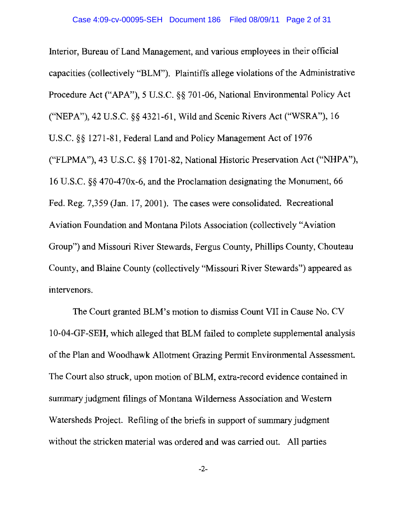Interior, Bureau of Land Management, and various employees in their official capacities (collectively "BLM"). Plaintiffs allege violations of the Administrative Procedure Act ("APA"), 5 U.S.C. §§ 701-06, National Environmental Policy Act CNEPA"), 42 U.S.c. §§ 4321-61, Wild and Scenic Rivers Act ("WSRA"), 16 U.S.C. §§ 1271-81, Federal Land and Policy Management Act of 1976 ("FLPMA"), 43 U.S.C. §§ 1701-82, National Historic Preservation Act ("NHPA"), 16 U.S.C. §§ 470-470x-6, and the Proclamation designating the Monument, 66 Fed. Reg. 7,359 (Jan. 17,2001). The cases were consolidated. Recreational Aviation Foundation and Montana Pilots Association (collectively "Aviation Group") and Missouri River Stewards, Fergus County, Phillips County, Chouteau County, and Blaine County (collectively "Missouri River Stewards") appeared as intervenors.

The Court granted BLM's motion to dismiss Count VII in Cause No. CV 1O-04-GF-SEH, which alleged that BLM failed to complete supplemental analysis of the Plan and Woodhawk Allotment Grazing Permit Environmental Assessment. The Court also struck, upon motion of BLM, extra-record evidence contained in summary judgment filings of Montana Wilderness Association and Western Watersheds Project. Refiling of the briefs in support of summary judgment without the stricken material was ordered and was carried out. All parties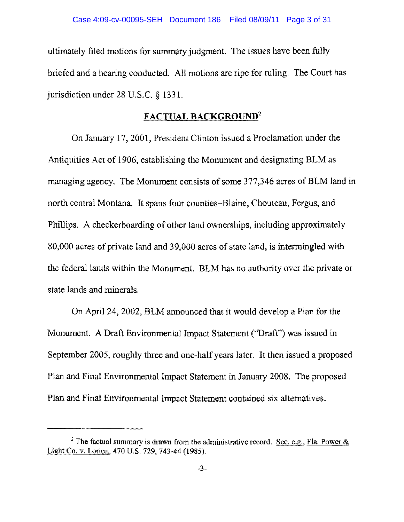ultimately filed motions for summary judgment. The issues have been fully briefed and a hearing conducted. All motions are ripe for ruling. The Court has jurisdiction under 28 U.S.C. § 1331.

# **FACTUAL BACKGROUND<sup>2</sup>**

On January 17, 2001, President Clinton issued a Proclamation under the Antiquities Act of 1906, establishing the Monument and designating BLM as managing agency. The Monument consists of some 377 ,346 acres of BLM land in north central Montana. It spans four counties-Blaine, Chouteau, Fergus, and Phillips. A checkerboarding of other land ownerships, including approximately 80,000 acres of private land and 39,000 acres of state land, is intermingled with the federal lands within the Monument. BLM has no authority over the private or state lands and minerals.

On April 24, 2002, BLM announced that it would develop a Plan for the Monument. A Draft Environmental Impact Statement ("Draft") was issued in September 2005, roughly three and one-half years later. It then issued a proposed Plan and Final Environmental Impact Statement in January 2008. The proposed Plan and Final Environmental Impact Statement contained six alternatives.

<sup>&</sup>lt;sup>2</sup> The factual summary is drawn from the administrative record. See, e.g., Fla. Power  $\&$ Light Co. v. Lorion, 470 U.S. 729, 743-44 (1985).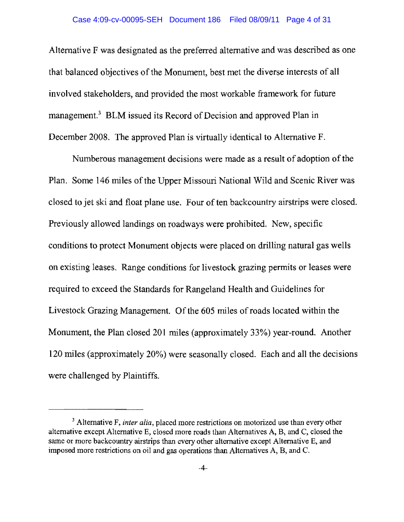Alternative F was designated as the preferred alternative and was described as one that balanced objectives of the Monument, best met the diverse interests of all involved stakeholders, and provided the most workable framework for future management.<sup>3</sup> BLM issued its Record of Decision and approved Plan in December 2008. The approved Plan is virtually identical to Alternative F.

Numberous management decisions were made as a result of adoption of the Plan. Some 146 miles of the Upper Missouri National Wild and Scenic River was closed to jet ski and float plane use. Four of ten backcountry airstrips were closed. Previously allowed landings on roadways were prohibited. New, specific conditions to protect Monument objects were placed on drilling natural gas wells on existing leases. Range conditions for livestock grazing permits or leases were required to exceed the Standards for Rangeland Health and Guidelines for Livestock Grazing Management. Of the 605 miles of roads located within the Monument, the Plan closed 201 miles (approximately 33%) year-round. Another 120 miles (approximately 20%) were seasonally closed. Each and all the decisions were challenged by Plaintiffs.

<sup>&</sup>lt;sup>3</sup> Alternative F, *inter alia*, placed more restrictions on motorized use than every other alternative except Alternative E, closed more roads than Alternatives A, 8, and C, closed the same or more backcountry airstrips than every other alternative except Alternative E, and imposed more restrictions on oil and gas operations than Alternatives A, B, and C.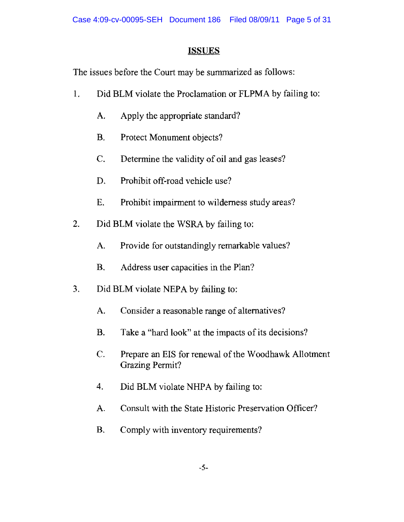# **ISSUES**

The issues before the Court may be summarized as follows:

- 1. Did BLM violate the Proclamation or FLPMA by failing to:
	- A. Apply the appropriate standard?
	- B. Protect Monument objects?
	- C. Determine the validity of oil and gas leases?
	- D. Prohibit off-road vehicle use?
	- E. Prohibit impairment to wilderness study areas?
- 2. Did BLM violate the WSRA by failing to:
	- A. Provide for outstandingly remarkable values?
	- B. Address user capacities in the Plan?
- 3. Did BLM violate NEPA by failing to:
	- A. Consider a reasonable range of alternatives?
	- B. Take a "hard look" at the impacts of its decisions?
	- C. Prepare an EIS for renewal of the Woodhawk Allotment Grazing Permit?
	- 4. Did BLM violate NHPA by failing to:
	- A. Consult with the State Historic Preservation Officer?
	- B. Comply with inventory requirements?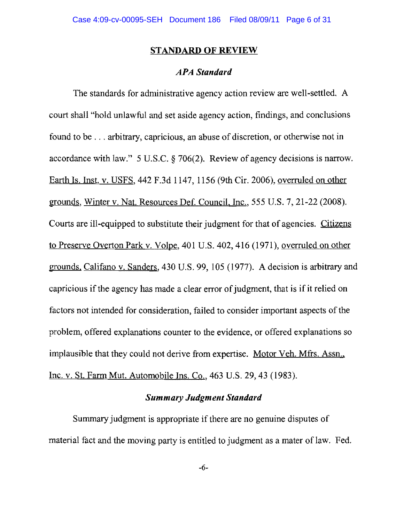#### **STANDARD OF REVIEW**

#### *APA Standard*

The standards for administrative agency action review are well-settled. A court shall "hold unlawful and set aside agency action, findings, and conclusions found to be ... arbitrary, capricious, an abuse of discretion, or otherwise not in accordance with law." 5 U.S.C. § 706(2). Review of agency decisions is narrow. Earth Is. Inst. v. USFS, 442 F.3d 1147, 1156 (9th Cir. 2006), overruled on other grounds, Winter v. Nat. Resources Def. Council. Inc., 555 U.S. 7,21-22 (2008). Courts are ill-equipped to substitute their judgment for that of agencies. Citizens to Preserve Overton Park v. Volpe, 401 U.S. 402,416 (1971), overruled on other grounds. Califano v. Sanders, 430 U.S. 99, 105 (1977). A decision is arbitrary and capricious if the agency has made a clear error of judgment, that is if it relied on factors not intended for consideration, failed to consider important aspects of the problem, offered explanations counter to the evidence, or offered explanations so implausible that they could not derive from expertise. Motor Veh. Mfrs. Assn., Inc. v. St. Farm Mut. Automobile Ins. Co., 463 U.S. 29,43 (1983).

#### *Summary Judgment Standard*

Summary judgment is appropriate if there are no genuine disputes of material fact and the moving party is entitled to judgment as a mater of law. Fed.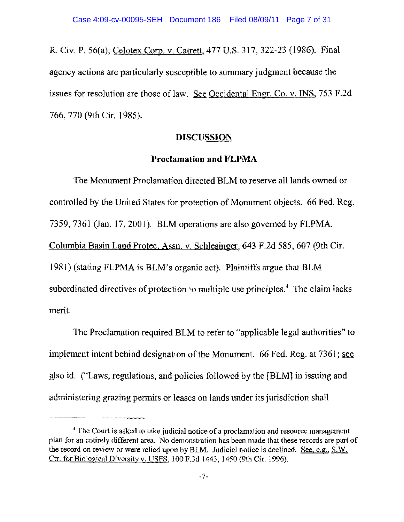R. Civ. P. 56(a); Celotex Corp. v. Catrett, 477 U.S. 317, 322-23 (1986). Final agency actions are particularly susceptible to summary judgment because the issues for resolution are those of law. See Occidental Engr. Co. v. INS, 753 F.2d 766, 770 (9th Cir. 1985).

#### **DISCUSSION**

#### **Proclamation and FLPMA**

The Monument Proclamation directed BLM to reserve all lands owned or controlled by the United States for protection of Monument objects. 66 Fed. Reg. 7359,7361 (Jan. 17,2001). BLM operations are also governed by FLPMA. Columbia Basin Land Protec. Assn. v. Schlesinger, 643 F.2d 585, 607 (9th Cir. 1981) (stating FLPMA is BLM's organic act). Plaintiffs argue that BLM subordinated directives of protection to multiple use principles.<sup>4</sup> The claim lacks merit.

The Proclamation required BLM to refer to "applicable legal authorities" to implement intent behind designation of the Monument. 66 Fed. Reg. at 7361; see also id. ("Laws, regulations, and policies followed by the [BLM] in issuing and administering grazing pennits or leases on lands under its jurisdiction shall

<sup>&</sup>lt;sup>4</sup> The Court is asked to take judicial notice of a proclamation and resource management plan for an entirely different area. No demonstration has been made that these records are part of the record on review or were relied upon by BLM. Judicial notice is declined. See, e.g., S.W. Ctr. for Biological Diversity v. USFS, 100 F.3d 1443, 1450 (9th Cir. 1996).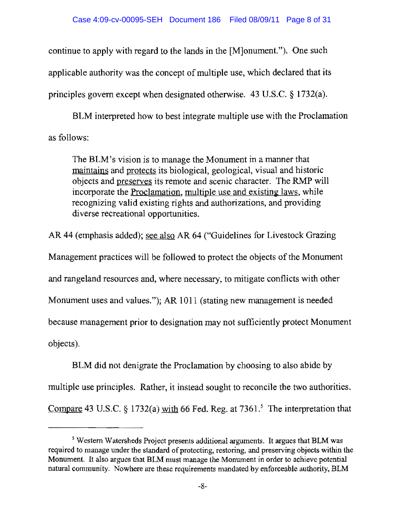continue to apply with regard to the lands in the [M]onument."). One such applicable authority was the concept of multiple use, which declared that its principles govern except when designated otherwise. 43 U.S.C. § 1732(a).

BLM interpreted how to best integrate multiple use with the Proclamation as follows:

The BLM's vision is to manage the Monument in a manner that maintains and protects its biological, geological, visual and historic objects and preserves its remote and scenic character. The RMP will incorporate the Proclamation, multiple use and existing laws, while recognizing valid existing rights and authorizations, and providing diverse recreational opportunities.

AR 44 (emphasis added); see also AR 64 ("Guidelines for Livestock Grazing Management practices will be followed to protect the objects of the Monument and rangeland resources and, where necessary, to mitigate conflicts with other Monument uses and values."); AR 1011 (stating new management is needed because management prior to designation may not sufficiently protect Monument objects).

BLM did not denigrate the Proclamation by choosing to also abide by multiple use principles. Rather, it instead sought to reconcile the two authorities. Compare 43 U.S.C. § 1732(a) with 66 Fed. Reg. at  $7361$ .<sup>5</sup> The interpretation that

<sup>&</sup>lt;sup>5</sup> Western Watersheds Project presents additional arguments. It argues that BLM was required to manage under the standard of protecting, restoring, and preserving objects within the Monument. It also argues that BLM must manage the Monument in order to achieve potential natural community. Nowhere are these requirements mandated by enforceable authority, BLM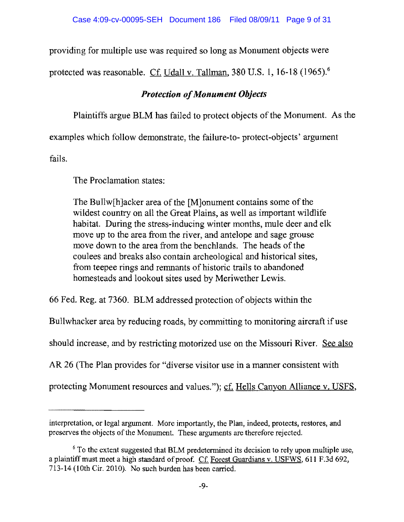providing for multiple use was required so long as Monument objects were

protected was reasonable. Cf. Udall v. Tallman, 380 U.S. 1, 16-18 (1965).<sup>6</sup>

# *Protection ofMonument Objects*

Plaintiffs argue BLM has failed to protect objects of the Monument. As the

examples which follow demonstrate, the failure-to- protect-objects' argument

fails.

The Proclamation states:

The Bullw[h]acker area of the [M]onument contains some of the wildest country on all the Great Plains, as well as important wildlife habitat. During the stress-inducing winter months, mule deer and elk move up to the area from the river, and antelope and sage grouse move down to the area from the benchlands. The heads of the coulees and breaks also contain archeological and historical sites, from teepee rings and remnants of historic trails to abandoned homesteads and lookout sites used by Meriwether Lewis.

66 Fed. Reg. at 7360. BLM addressed protection of objects within the

Bullwhacker area by reducing roads, by committing to monitoring aircraft if use

should increase, and by restricting motorized use on the Missouri River. See also

AR 26 (The Plan provides for "diverse visitor use in a manner consistent with

protecting Monument resources and values."); cf. Hells Canyon Alliance v. USFS,

interpretation, or legal argument. More importantly, the Plan, indeed, protects, restores, and preserves the objects of the Monument. These arguments are therefore rejected.

<sup>&</sup>lt;sup>6</sup> To the extent suggested that BLM predetermined its decision to rely upon multiple use, a plaintiff must meet a high standard of proof. Cf. Forest Guardians v. USFWS, 611 F.3d 692, 713-14 (10th Cir. 2010). No such burden has been carried.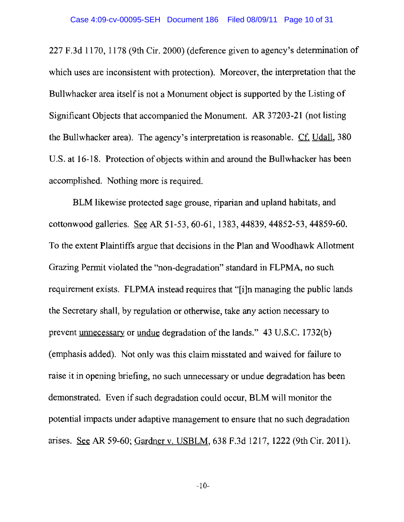227 F.3d 1170, 1178 (9th Cir. 2000) (deference given to agency's determination of which uses are inconsistent with protection). Moreover, the interpretation that the Bullwhacker area itself is not a Monument object is supported by the Listing of Significant Objects that accompanied the Monument. AR 37203-21 (not listing the Bullwhacker area). The agency's interpretation is reasonable. Cf. Udall, 380 U.S. at 16-18. Protection of objects within and around the Bullwhacker has been accomplished. Nothing more is required.

BLM likewise protected sage grouse, riparian and upland habitats, and cottonwood galleries. See AR 51-53, 60-61, 1383,44839,44852-53,44859-60. To the extent Plaintiffs argue that decisions in the Plan and Woodhawk Allotment Grazing Permit violated the "non-degradation" standard in FLPMA, no such requirement exists. FLPMA instead requires that "[i]n managing the public lands the Secretary shall, by regulation or otherwise, take any action necessary to prevent <u>unnecessary</u> or <u>undue</u> degradation of the lands." 43 U.S.C. 1732(b) (emphasis added). Not only was this claim misstated and waived for failure to raise it in opening briefing, no such unnecessary or undue degradation has been demonstrated. Even if such degradation could occur, BLM will monitor the potential impacts under adaptive management to ensure that no such degradation arises. AR 59-60; Gardner v. USBLM, 638 F.3d 1217, 1222 (9th Cir. 2011).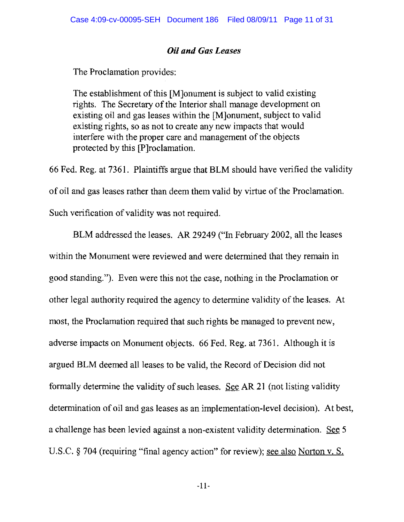### *Oil and Gas Leases*

The Proclamation provides:

The establishment of this [M]onument is subject to valid existing rights. The Secretary of the Interior shall manage development on existing oil and gas leases within the [M]onument, subject to valid existing rights, so as not to create any new impacts that would interfere with the proper care and management of the objects protected by this [P]roclamation.

66 Fed. Reg. at 7361. Plaintiffs argue that BLM should have verified the validity of oil and gas leases rather than deem them valid by virtue of the Proclamation. Such verification of validity was not required.

BLM addressed the leases. AR 29249 ("In February 2002, all the leases within the Monument were reviewed and were determined that they remain in good standing."). Even were this not the case, nothing in the Proclamation or other legal authority required the agency to determine validity of the leases. At most, the Proclamation required that such rights be managed to prevent new, adverse impacts on Monument objects. 66 Fed. Reg. at 7361. Although it is argued BLM deemed all leases to be valid, the Record of Decision did not formally determine the validity of such leases. See AR 21 (not listing validity determination of oil and gas leases as an implementation-level decision). At best, a challenge has been levied against a non-existent validity determination. See 5 U.S.C. § 704 (requiring "final agency action" for review); <u>see also Norton v. S.</u>

-11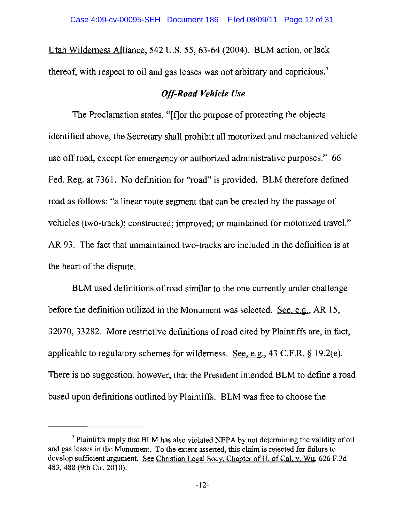Utah Wilderness Alliance, 542 U.S. 55, 63-64 (2004). BLM action, or lack thereof, with respect to oil and gas leases was not arbitrary and capricious.<sup>7</sup>

## *Off-Road Vehicle Use*

The Proclamation states, "[f]or the purpose of protecting the objects identified above, the Secretary shall prohibit all motorized and mechanized vehicle use off road, except for emergency or authorized administrative purposes." 66 Fed. Reg. at 7361. No definition for "road" is provided. BLM therefore defined road as follows: "a linear route segment that can be created by the passage of vehicles (two-track); constructed; improved; or maintained for motorized travel." AR 93. The fact that unmaintained two-tracks are included in the definition is at the heart of the dispute.

BLM used definitions of road similar to the one currently under challenge before the definition utilized in the Monument was selected. See, e.g., AR 15, 32070,33282. More restrictive definitions of road cited by Plaintiffs are, in fact, applicable to regulatory schemes for wilderness. See, e.g., 43 C.F.R. § 19.2(e). There is no suggestion, however, that the President intended BLM to define a road based upon definitions outlined by Plaintiffs. BLM was free to choose the

<sup>7</sup> Plaintiffs imply that BLM has also violated NEPA by not determining the validity of oil and gas leases in the Monument. To the extent asserted, this claim is rejected for failure to develop sufficient argument. See Christian Legal Socy. Chapter of U. of Cal. v. Wu, 626 F.3d 483, 488 (9th Cir. 2010).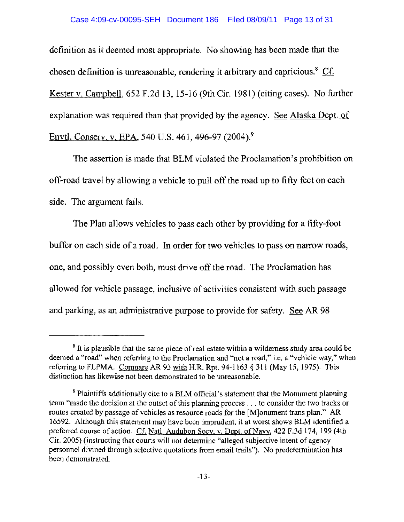#### Case 4:09-cv-00095-SEH Document 186 Filed 08/09/11 Page 13 of 31

definition as it deemed most appropriate. No showing has been made that the chosen definition is unreasonable, rendering it arbitrary and capricious.<sup>8</sup>  $Cf$ . Kester v. Campbell, 652 F.2d 13,15-16 (9th Cir. 1981) (citing cases). No further explanation was required than that provided by the agency. See Alaska Dept. of Envtl. Conserv. v. EPA, 540 U.S. 461, 496-97 (2004).<sup>9</sup>

The assertion is made that BLM violated the Proclamation's prohibition on off-road travel by allowing a vehicle to pull off the road up to fifty feet on each side. The argument fails.

The Plan allows vehicles to pass each other by providing for a fifty-foot buffer on each side of a road. In order for two vehicles to pass on narrow roads, one, and possibly even both, must drive off the road. The Proclamation has allowed for vehicle passage, inclusive of activities consistent with such passage and parking, as an administrative purpose to provide for safety. See AR 98

<sup>&</sup>lt;sup>8</sup> It is plausible that the same piece of real estate within a wilderness study area could be deemed a "road" when referring to the Proclamation and "not a road," i.e. a "vehicle way," when referring to FLPMA. Compare AR 93 with H.R. Rpt. 94-1163  $\S 311$  (May 15, 1975). This distinction has likewise not been demonstrated to be unreasonable.

<sup>&</sup>lt;sup>9</sup> Plaintiffs additionally cite to a BLM official's statement that the Monument planning tearn "made the decision at the outset of this planning process . . . to consider the two tracks or routes created by passage of vehicles as resource roads for the [M]onument trans plan." AR 16592. Although this statement may have been imprudent, it at worst shows BLM identified a preferred course of action. Cf. Natl. Audubon Socy. v. Dept. of Navy, 422 F.3d 174, 199 (4th Cir. 2005) (instructing that courts will not determine "alleged subjective intent of agency personnel divined through selective quotations from email trails"). No predetermination has been demonstrated.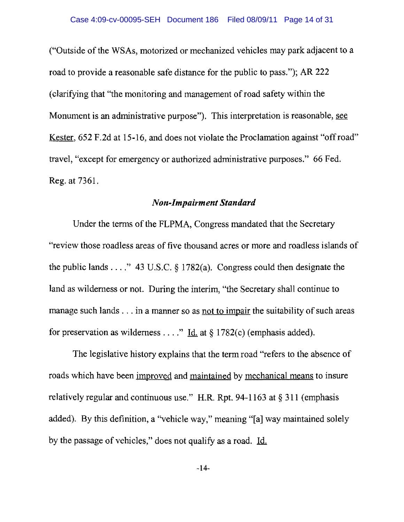("Outside of the WSAs, motorized or mechanized vehicles may park adjacent to a road to provide a reasonable safe distance for the public to pass."); AR 222 (clarifying that "the monitoring and management ofroad safety within the Monument is an administrative purpose"). This interpretation is reasonable, see Kester, 652 F.2d at 15-16, and does not violate the Proclamation against "offroad" travel, "except for emergency or authorized administrative purposes." 66 Fed. Reg. at 7361.

### *Non-Impairment Standard*

Under the terms of the FLPMA, Congress mandated that the Secretary "review those roadless areas of five thousand acres or more and roadless islands of the public lands ...." 43 U.S.C.  $\S$  1782(a). Congress could then designate the land as wilderness or not. During the interim, "the Secretary shall continue to manage such lands  $\ldots$  in a manner so as not to impair the suitability of such areas for preservation as wilderness . . . ." Id. at  $\S 1782(c)$  (emphasis added).

The legislative history explains that the term road "refers to the absence of roads which have been improved and maintained by mechanical means to insure relatively regular and continuous use." H.R. Rpt. 94-1163 at  $\S 311$  (emphasis added). By this definition, a "vehicle way," meaning "[a] way maintained solely by the passage of vehicles," does not qualify as a road. Id.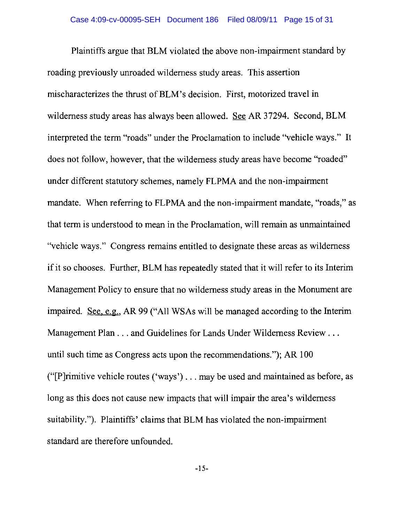Plaintiffs argue that BLM violated the above non-impairment standard by roading previously unroaded wilderness study areas. This assertion mischaracterizes the thrust ofBLM's decision. First, motorized travel in wilderness study areas has always been allowed. See AR 37294. Second, BLM interpreted the term "roads" under the Proclamation to include "vehicle ways." It does not follow, however, that the wilderness study areas have become "roaded" under different statutory schemes, namely FLPMA and the non-impairment mandate. When referring to FLPMA and the non-impairment mandate, "roads," as that tenn is understood to mean in the Proclamation, will remain as unmaintained "vehicle ways." Congress remains entitled to designate these areas as wilderness if it so chooses. Further, BLM has repeatedly stated that it will refer to its Interim Management Policy to ensure that no wilderness study areas in the Monument are impaired. See. e.g., AR 99 ("All WSAs will be managed according to the Interim Management Plan . . . and Guidelines for Lands Under Wilderness Review . . . until such time as Congress acts upon the recommendations."); AR 100 ("[P]rimitive vehicle routes ('ways') ... may be used and maintained as before, as long as this does not cause new impacts that will impair the area's wilderness suitability."). Plaintiffs' claims that BLM has violated the non-impairment standard are therefore unfounded.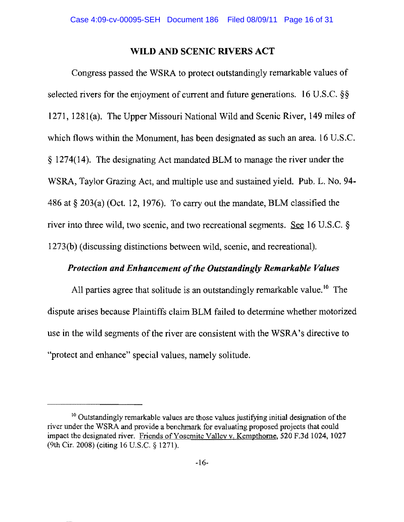#### WILD AND SCENIC RIVERS ACT

Congress passed the WSRA to protect outstandingly remarkable values of selected rivers for the enjoyment of current and future generations. 16 U.S.C. §§ 1271, 1281(a). The Upper Missouri National Wild and Scenic River, 149 miles of which flows within the Monument, has been designated as such an area. 16 U.S.C. § 1274(14). The designating Act mandated BLM to manage the river under the WSRA, Taylor Grazing Act, and multiple use and sustained yield. Pub. L. No. 94 486 at  $\S 203(a)$  (Oct. 12, 1976). To carry out the mandate, BLM classified the river into three wild, two scenic, and two recreational segments. See 16 U.S.C.  $\S$ 1273(b) (discussing distinctions between wild, scenic, and recreational).

### **Protection and Enhancement of the Outstandingly Remarkable Values**

All parties agree that solitude is an outstandingly remarkable value.<sup>10</sup> The dispute arises because Plaintiffs claim BLM failed to determine whether motorized use in the wild segments of the river are consistent with the WSRA's directive to "protect and enhance" special values, namely solitude.

<sup>&</sup>lt;sup>10</sup> Outstandingly remarkable values are those values justifying initial designation of the river under the WSRA and provide a benchmark for evaluating proposed projects that could impact the designated river. Friends of Yosemite Valley v. Kempthorne, 520 F.3d 1024, 1027 (9th Cir. 2008) (citing 16 U.S.C. § 1271).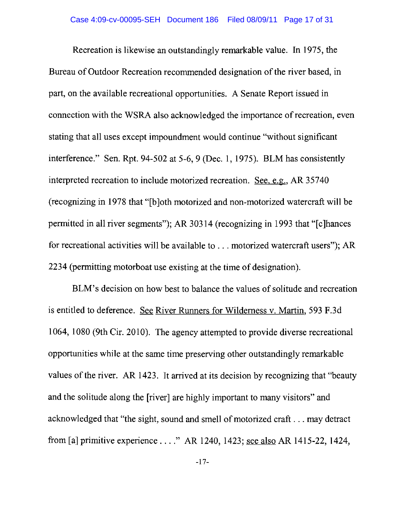Recreation is likewise an outstandingly remarkable value. In 1975, the Bureau of Outdoor Recreation recommended designation of the river based, in part, on the available recreational opportunities. A Senate Report issued in connection with the WSRA also acknowledged the importance of recreation, even stating that all uses except impoundment would continue "without significant interference." Sen. Rpt. 94-502 at 5-6, 9 (Dec. 1, 1975). BLM has consistently interpreted recreation to include motorized recreation. See, e.g., AR 35740 (recognizing in 1978 that "[b]oth motorized and non-motorized watercraft will be permitted in all river segments"); AR 30314 (recognizing in 1993 that "[c]hances for recreational activities will be available to ... motorized watercraft users"); AR 2234 (permitting motorboat use existing at the time of designation).

BLM's decision on how best to balance the values of solitude and recreation is entitled to deference. See River Runners for Wilderness v. Martin, 593 F.3d 1064, 1080 (9th Cir. 2010). The agency attempted to provide diverse recreational opportunities while at the same time preserving other outstandingly remarkable values of the river. AR 1423. It arrived at its decision by recognizing that "beauty and the solitude along the [river] are highly important to many visitors" and acknowledged that "the sight, sound and smell of motorized craft . . . may detract from [aJ primitive experience ...." AR 1240, 1423; see also AR 1415-22, 1424,

-17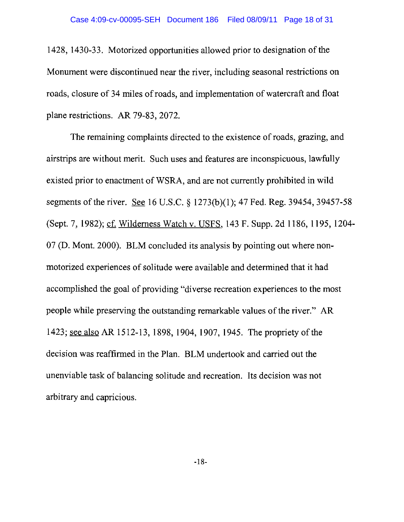1428, 1430-33. Motorized opportunities allowed prior to designation of the Monument were discontinued near the river, including seasonal restrictions on roads, closure of 34 miles of roads, and implementation of watercraft and float plane restrictions. AR 79-83, 2072.

The remaining complaints directed to the existence of roads, grazing, and airstrips are without merit. Such uses and features are inconspicuous, lawfully existed prior to enactment of WSRA, and are not currently prohibited in wild segments of the river. See 16 U.S.C. § 1273(b)(I); 47 Fed. Reg. 39454, 39457-58 (Sept. 7, 1982); cf. Wilderness Watch v. USFS, 143 F. Supp. 2d 1186, 1195, 1204-07 (D. Mont. 2000). BLM concluded its analysis by pointing out where nonmotorized experiences of solitude were available and determined that it had accomplished the goal of providing "diverse recreation experiences to the most people while preserving the outstanding remarkable values of the river." AR 1423; see also AR 1512-13,1898,1904,1907,1945. The propriety of the decision was reaffirmed in the Plan. BLM undertook and carried out the unenviable task of balancing solitude and recreation. Its decision was not arbitrary and capricious.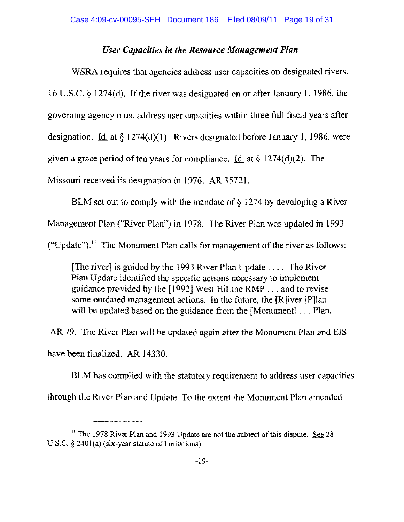### *User Capacities in the Resource Management Plan*

WSRA requires that agencies address user capacities on designated rivers. 16 U.S.C. § 1274(d). If the river was designated on or after January 1, 1986, the governing agency must address user capacities within three full fiscal years after designation. Id. at  $\S 1274(d)(1)$ . Rivers designated before January 1, 1986, were given a grace period of ten years for compliance. Id. at  $\S 1274(d)(2)$ . The Missouri received its designation in 1976. AR 35721.

BLM set out to comply with the mandate of § 1274 by developing a River Management Plan ("River Plan") in 1978. The River Plan was updated in 1993 ("Update").<sup>11</sup> The Monument Plan calls for management of the river as follows:

[The river] is guided by the 1993 River Plan Update .... The River Plan Update identified the specific actions necessary to implement guidance provided by the [1992] West HiLine RMP ... and to revise some outdated management actions. In the future, the [R]iver [P]lan will be updated based on the guidance from the [Monument]... Plan.

AR 79. The River Plan will be updated again after the Monument Plan and EIS have been finalized. AR 14330.

BLM has complied with the statutory requirement to address user capacities through the River Plan and Update. To the extent the Monument Plan amended

<sup>&</sup>lt;sup>11</sup> The 1978 River Plan and 1993 Update are not the subject of this dispute. See 28 U.S.C.  $\S$  2401(a) (six-year statute of limitations).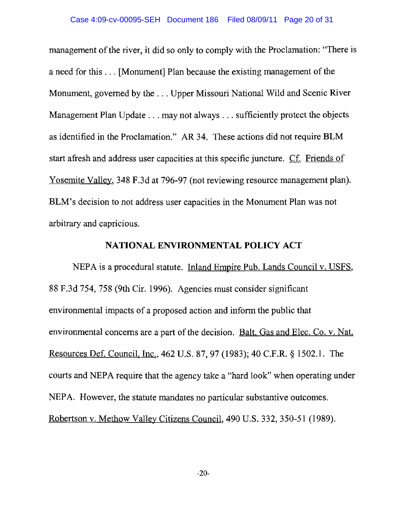management of the river, it did so only to comply with the Proclamation: "There is a need for this ... [Monument] Plan because the existing management of the Monument, governed by the ... Upper Missouri National Wild and Scenic River Management Plan Update ... may not always ... sufficiently protect the objects as identified in the Proclamation." AR 34. These actions did not require BLM start afresh and address user capacities at this specific juncture. Cf. Friends of Yosemite Valley, 348 F.3d at 796-97 (not reviewing resource management plan). BLM's decision to not address user capacities in the Monument Plan was not arbitrary and capricious.

#### **NATIONAL ENVIRONMENTAL POLICY ACT**

NEPA is a procedural statute. Inland Empire Pub. Lands Council v. USFS, 88 F.3d 754, 758 (9th Cir. 1996). Agencies must consider significant environmental impacts of a proposed action and inform the public that environmental concerns are a part of the decision. Balt. Gas and Elec. Co. v. Nat. Resources Def. Council. Inc., 462 U.S. 87,97 (1983); 40 C.F.R. § 1502.1. The courts and NEPA require that the agency take a "hard look" when operating under NEPA. However, the statute mandates no particular substantive outcomes. Robertson v. Methow Valley Citizens Council, 490 U.S. 332, 350-51 (1989).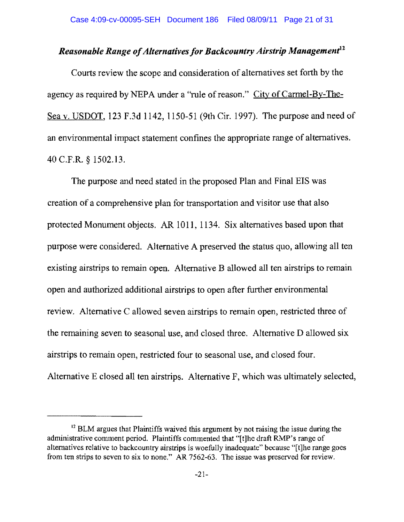# *Reasonable Range of Alternatives for Backcountry Airstrip Management<sup>12</sup>*

Courts review the scope and consideration of alternatives set forth by the agency as required by NEPA under a "rule of reason." City of Carmel-By-The-Sea v. USDOT, 123 F.3d 1142, 1150-51 (9th Cir. 1997). The purpose and need of an environmental impact statement confines the appropriate range of alternatives. 40 C.F.R. § 1502.13.

The purpose and need stated in the proposed Plan and Final EIS was creation of a comprehensive plan for transportation and visitor use that also protected Monument objects. AR 1011, 1134. Six alternatives based upon that purpose were considered. Alternative A preserved the status quo, allowing all ten existing airstrips to remain open. Alternative B allowed all ten airstrips to remain open and authorized additional airstrips to open after further environmental review. Alternative C allowed seven airstrips to remain open, restricted three of the remaining seven to seasonal use, and closed three. Alternative D allowed six airstrips to remain open, restricted four to seasonal use, and closed four. Alternative E closed all ten airstrips. Alternative F, which was ultimately selected,

<sup>&</sup>lt;sup>12</sup> BLM argues that Plaintiffs waived this argument by not raising the issue during the administrative comment period. Plaintiffs commented that "[t]he draft RMP's range of alternatives relative to backcountry airstrips is woefully inadequate" because "[t]he range goes from ten strips to seven to six to none." AR 7562-63. The issue was preserved for review.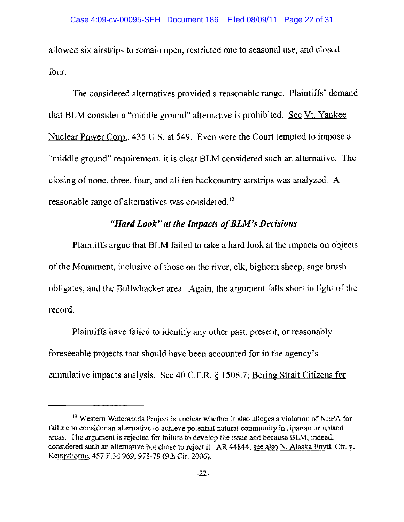allowed six airstrips to remain open, restricted one to seasonal use, and closed four.

The considered alternatives provided a reasonable range. Plaintiffs' demand that BLM consider a "middle ground" alternative is prohibited. See Vt. Yankee Nuclear Power Corp., 435 U.S. at 549. Even were the Court tempted to impose a "middle ground" requirement, it is clear BLM considered such an alternative. The closing of none, three, four, and all ten backcountry airstrips was analyzed. A reasonable range of alternatives was considered.<sup>13</sup>

### *"Hard Look" at the Impacts ofBLM's Decisions*

Plaintiffs argue that BLM failed to take a hard look at the impacts on objects of the Monument, inclusive of those on the river, elk, bighorn sheep, sage brush obligates, and the Bullwhacker area. Again, the argument falls short in light of the record.

Plaintiffs have failed to identify any other past, present, or reasonably foreseeable projects that should have been accounted for in the agency's cumulative impacts analysis. See 40 C.F.R. § 1508.7; Bering Strait Citizens for

<sup>&</sup>lt;sup>13</sup> Western Watersheds Project is unclear whether it also alleges a violation of NEPA for failure to eonsider an alternative to achieve potential natural community in riparian or upland areas. The argument is rejeeted for failure to develop the issue and beeause BLM, indeed, considered such an alternative but chose to reject it. AR 44844; see also N. Alaska Envtl. Ctr. v. Kempthome. 457 F.3d 969, 978-79 (9th Cir. 2006).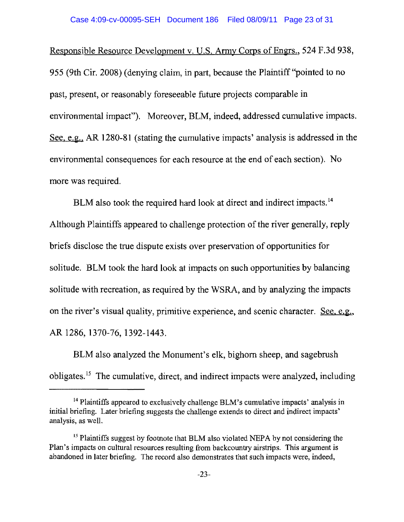Responsible Resource Development v. U.S. Army Corps of Engrs., 524 F.3d 938, 955 (9th Cir. 2008) (denying claim, in part, because the Plaintiff "pointed to no past, present, or reasonably foreseeable future projects comparable in environmental impact"). Moreover, BLM, indeed, addressed cumulative impacts. See, e.g., AR 1280-81 (stating the cumulative impacts' analysis is addressed **in the**  environmental consequences for each resource at the end of each section). No more was required.

BLM also took the required hard look at direct and indirect impacts.<sup>14</sup> Although Plaintiffs appeared to challenge protection of the river generally, reply briefs disclose the true dispute exists over preservation of opportunities for solitude. BLM took the hard look at impacts on such opportunities by balancing solitude with recreation, as required by the WSRA, and by analyzing the impacts on the river's visual quality, primitive experience, and scenic character. See, e.g., AR 1286,1370-76,1392-1443.

BLM also analyzed the Monument's elk, bighorn sheep, and sagebrush obligates.<sup>15</sup> The cumulative, direct, and indirect impacts were analyzed, including

<sup>&</sup>lt;sup>14</sup> Plaintiffs appeared to exclusively challenge BLM's cumulative impacts' analysis in initial briefing. Later briefing suggests the challenge extends to direct and indirect impacts' analysis, as well.

<sup>&</sup>lt;sup>15</sup> Plaintiffs suggest by footnote that BLM also violated NEPA by not considering the Plan's impacts on cultural resources resulting from backcountry airstrips. This argument is abandoned in later briefing. The record also demonstrates that such impacts were, indeed,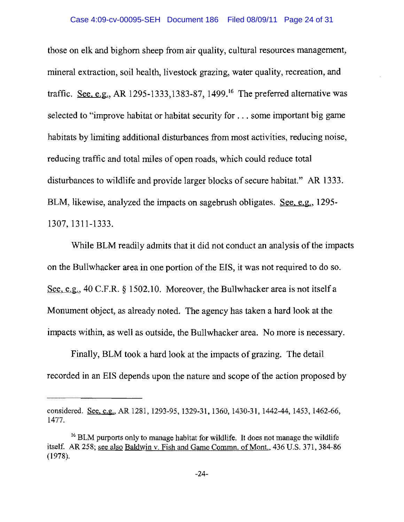those on elk and bighorn sheep from air quality, cultural resources management, mineral extraction, soil health, livestock grazing, water quality, recreation, and traffic. See, e.g., AR 1295-1333,1383-87, 1499.<sup>16</sup> The preferred alternative was selected to "improve habitat or habitat security for ... some important big game habitats by limiting additional disturbances from most activities, reducing noise, reducing traffic and total miles of open roads, which could reduce total disturbances to wildlife and provide larger blocks of secure habitat." AR 1333. BLM, likewise, analyzed the impacts on sagebrush obligates. See, e.g., 1295-1307,1311-1333.

While BLM readily admits that it did not conduct an analysis of the impacts on the Bullwhacker area in one portion of the EIS, it was not required to do so. See, e.g., 40 C.F.R. § 1502.10. Moreover, the Bullwhacker area is not itself a Monument object, as already noted. The agency has taken a hard look at the impacts within, as well as outside, the Bullwhacker area. No more is necessary.

Finally, BLM took a hard look at the impacts of grazing. The detail recorded in an EIS depends upon the nature and scope of the action proposed by

considered. See, e.g., AR 1281, 1293-95, 1329-31, 1360, 1430-31, 1442-44, 1453, 1462-66, 1477.

<sup>&</sup>lt;sup>16</sup> BLM purports only to manage habitat for wildlife. It does not manage the wildlife itself. AR 258; see also Baldwin v. Fish and Game Commn. of Mont., 436 U.S. 371, 384-86 (1978).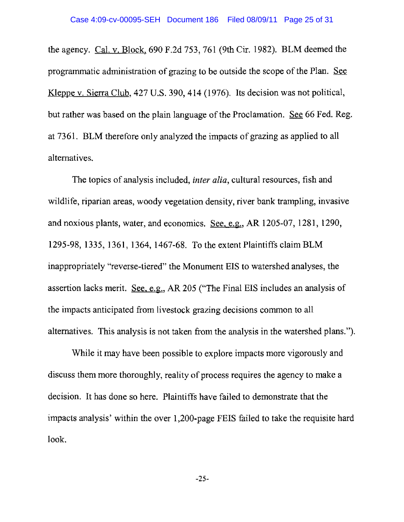the agency. Cal. v. Block. 690 F.2d 753, 761 (9th Crr. 1982). BLM deemed the programmatic administration of grazing to be outside the scope of the Plan. See Kleppe v. Sierra Club, 427 U.S. 390,414 (1976). Its decision was not political, but rather was based on the plain language of the Proclamation. See 66 Fed. Reg. at 7361. BLM therefore only analyzed the impacts of grazing as applied to all alternatives.

The topics of analysis included, *inter alia,* cultural resources, fish and wildlife, riparian areas, woody vegetation density, river bank trampling, invasive and noxious plants, water, and economics. See. e.g., AR 1205-07, 1281, 1290, 1295-98, 1335, 1361, 1364, 1467-68. To the extent Plaintiffs claim BLM inappropriately "reverse-tiered" the Monument EIS to watershed analyses, the assertion lacks merit. See, e.g., AR 205 ("The Final EIS includes an analysis of the impacts anticipated from livestock grazing decisions common to all alternatives. This analysis is not taken from the analysis in the watershed plans.").

While it may have been possible to explore impacts more vigorously and discuss them more thoroughly, reality of process requires the agency to make a decision. It has done so here. Plaintiffs have failed to demonstrate that the impacts analysis' within the over 1,200-page FEIS failed to take the requisite hard look.

 $-25-$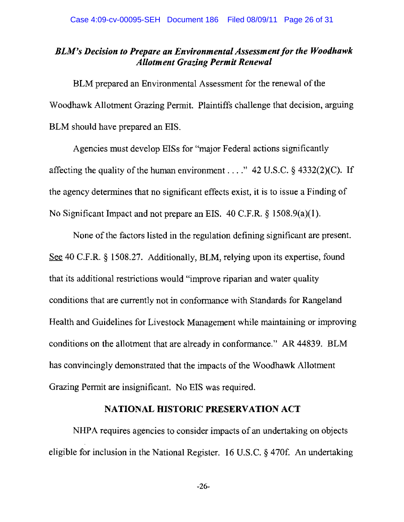## *BLM's Decision to Prepare an Environmental Assessment for the Woodhawk Allotment Grazing Permit Renewal*

BLM prepared an Environmental Assessment for the renewal of the Woodhawk Allotment Grazing Permit. Plaintiffs challenge that decision, arguing BLM should have prepared an EIS.

Agencies must develop EISs for "major Federal actions significantly affecting the quality of the human environment ...." 42 U.S.C. § 4332(2)(C). If the agency determines that no significant effects exist, it is to issue a Finding of No Significant Impact and not prepare an EIS. 40 C.F.R. § 1508.9(a)(I).

None of the factors listed in the regulation defining significant are present. See 40 C.F.R. § 1508.27. Additionally, BLM, relying upon its expertise, found that its additional restrictions would "improve riparian and water quality conditions that are currently not in conformance with Standards for Rangeland Health and Guidelines for Livestock Management while maintaining or improving conditions on the allotment that are already in conformance." AR 44839. BLM has convincingly demonstrated that the impacts of the Woodhawk Allotment Grazing Permit are insignificant. No EIS was required.

### **NATIONAL HISTORIC PRESERVATION ACT**

NHPA requires agencies to consider impacts of an undertaking on objects eligible for inclusion in the National Register. 16 U.S.C. § 470f. An undertaking

-26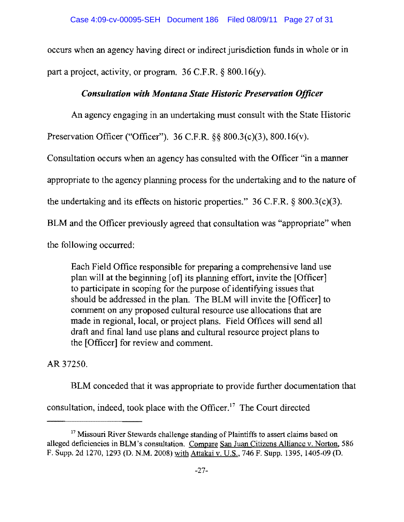occurs when an agency having direct or indirect jurisdiction funds in whole or in part a project, activity, or program. 36 C.F.R. § 800.16(y).

# *Consultation with Montana State Historic Preservation Officer*

An agency engaging in an undertaking must consult with the State Historic

Preservation Officer ("Officer"). 36 C.F.R. §§ 800.3(c)(3), 800.16(v).

Consultation occurs when an agency has consulted with the Officer "in a manner

appropriate to the agency planning process for the undertaking and to the nature of

the undertaking and its effects on historic properties."  $36$  C.F.R. §  $800.3(c)(3)$ .

BLM and the Officer previously agreed that consultation was "appropriate" when

the following occurred:

Each Field Office responsible for preparing a comprehensive land use plan will at the beginning [of] its planning effort, invite the [Officer] to participate in scoping for the purpose of identifying issues that should be addressed in the plan. The BLM will invite the [Officer] to comment on any proposed cultural resource use allocations that are made in regional, local, or project plans. Field Offices will send all draft and final land use plans and cultural resource project plans to the [Officer] for review and comment.

AR37250.

BLM conceded that it was appropriate to provide further documentation that

consultation, indeed, took place with the Officer. 17 The Court directed

<sup>&</sup>lt;sup>17</sup> Missouri River Stewards challenge standing of Plaintiffs to assert claims based on alleged deficiencies in BLM's consultation. Compare San Juan Citizens Alliance v. Norton, 586 F. Supp. 2d 1270, 1293 (D. NM. 2008) with Attakai v. U.S., 746 F. Supp. 1395, 1405-09 (D.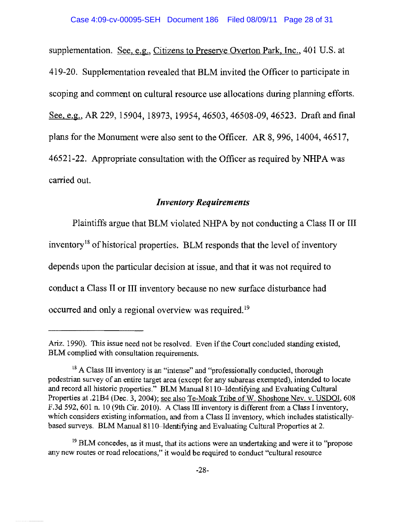supplementation. See, e.g., Citizens to Preserve Overton Park, Inc., 401 U.S. at 419-20. Supplementation revealed that BLM invited the Officer to participate in scoping and comment on cultural resource use allocations during planning efforts. See, e.g., AR 229, 15904, 18973, 19954, 46503, 46508-09, 46523. Draft and final plans for the Monument were also sent to the Officer. AR 8, 996, 14004, 46517, 46521-22. Appropriate consultation with the Officer as required by NHPA was carried out.

### *Inventory Requirements*

Plaintiffs argue that BLM violated NHPA by not conducting a Class II or III inventory<sup>18</sup> of historical properties. BLM responds that the level of inventory depends upon the particular decision at issue, and that it was not required to conduct a Class II or III inventory because no new surface disturbance had occurred and only a regional overview was required. 19

Ariz. 1990). This issue need not be resolved. Even if the Court concluded standing existed, BLM complied with consultation requirements.

<sup>&</sup>lt;sup>18</sup> A Class III inventory is an "intense" and "professionally conducted, thorough pedestrian survey of an entire target area (except for any subareas exempted), intended to locate and record all historic properties." BLM Manual 8110-Identifying and Evaluating Cultural Properties at .21B4 (Dec. 3, 2004); see also Te-Moak Tribe of W. Shoshone Nev. v. USDOI, 608 F.3d 592, 601 n. 10 (9th Cir. 2010). A Class III inventory is different from a Class I inventory, which considers existing information, and from a Class II inventory, which includes statisticallybased surveys. BLM Manual 811 O-Identifying and Evaluating Cultural Properties at 2.

<sup>&</sup>lt;sup>19</sup> BLM concedes, as it must, that its actions were an undertaking and were it to "propose any new routes or road relocations," it would be required to conduct "cultural resource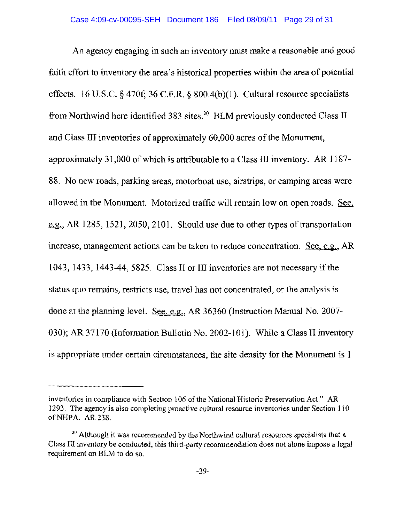An agency engaging in such an inventory must make a reasonable and good faith effort to inventory the area's historical properties within the area of potential effects. 16 U.S.C. § 470f; 36 C.F.R. § 800.4(b)(1). Cultural resource specialists from Northwind here identified 383 sites.<sup>20</sup> BLM previously conducted Class II and Class III inventories of approximately 60,000 acres of the Monument, approximately 31,000 of which is attributable to a Class III inventory. AR 1187 88. No new roads, parking areas, motorboat use, airstrips, or camping areas were allowed in the Monument. Motorized traffic will remain low on open roads. See,  $\epsilon$ , a.g., AR 1285, 1521, 2050, 2101. Should use due to other types of transportation increase, management actions can be taken to reduce concentration. See, e.g., AR 1043, 1433, 1443-44,5825. Class II or III inventories are not necessary if the status quo remains, restricts use, travel has not concentrated, or the analysis is done at the planning level. See, e.g., AR 36360 (Instruction Manual No. 2007 030); AR 37170 (Information Bulletin No. 2002-101). While a Class II inventory is appropriate under certain circumstances, the site density for the Monument is I

inventories in compliance with Section 106 of the National Historic Preservation Act." AR 1293. The agency is also completing proactive cultural resource inventories under Section 110 ofNHPA. AR 238.

<sup>&</sup>lt;sup>20</sup> Although it was recommended by the Northwind cultural resources specialists that a Class III inventory be conducted, this third-party recommendation does not alone impose a legal requirement on BLM to do so,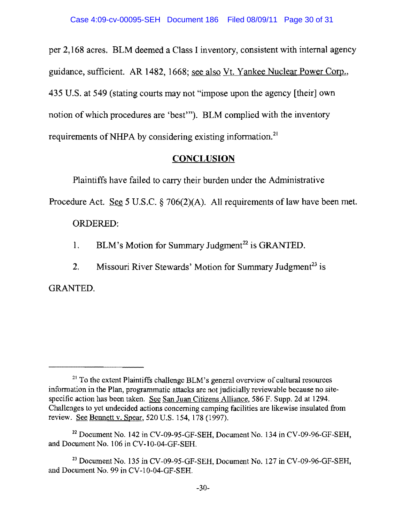per 2,168 acres. BLM deemed a Class I inventory, consistent with internal agency guidance, sufficient. AR 1482, 1668; see also Vt. Yankee Nuclear Power Corp., 435 U.S. at 549 (stating courts may not "impose upon the agency [their] own notion of which procedures are 'best"'). BLM complied with the inventory requirements of NHPA by considering existing information.<sup>21</sup>

# **CONCLUSION**

Plaintiffs have failed to carry their burden under the Administrative

Procedure Act. See 5 U.S.C. § 706(2)(A). All requirements of law have been met.

# ORDERED:

- 1. BLM's Motion for Summary Judgment<sup>22</sup> is GRANTED.
- 2. Missouri River Stewards' Motion for Summary Judgment<sup>23</sup> is

GRANTED.

 $21$  To the extent Plaintiffs challenge BLM's general overview of cultural resources information in the Plan, programmatic attacks are not judicially reviewable because no sitespecific action has been taken. See San Juan Citizens Alliance, 586 F. Supp. 2d at 1294. Challenges to yet undecided actions concerning camping facilities are likewise insulated from review. See Bennett v. Spear, 520 U.S. 154, 178 (1997).

 $^{22}$  Document No. 142 in CV-09-95-GF-SEH, Document No. 134 in CV-09-96-GF-SEH, and Document No. 106 in CV-10-04-GF-SEH.

 $^{23}$  Document No. 135 in CV-09-95-GF-SEH, Document No. 127 in CV-09-96-GF-SEH, and Document No. 99 in CV-I0-04-GF-SEH.